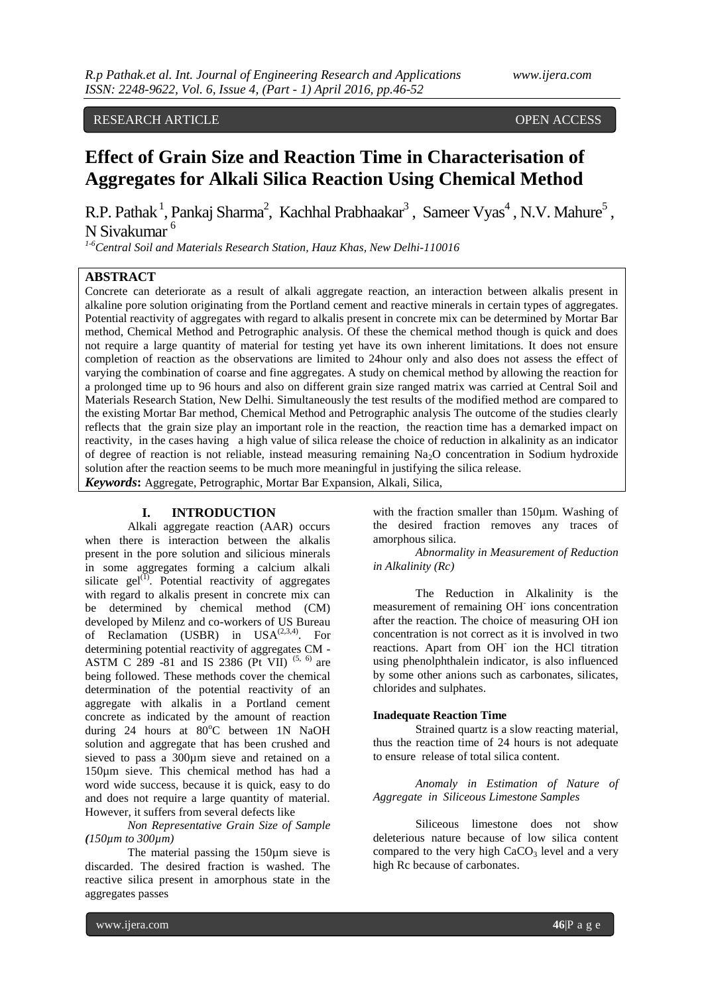# RESEARCH ARTICLE **OPEN ACCESS**

# **Effect of Grain Size and Reaction Time in Characterisation of Aggregates for Alkali Silica Reaction Using Chemical Method**

R.P. Pathak<sup>1</sup>, Pankaj Sharma<sup>2</sup>, Kachhal Prabhaakar<sup>3</sup>, Sameer Vyas<sup>4</sup>, N.V. Mahure<sup>5</sup>, N Sivakumar <sup>6</sup>

*1-6Central Soil and Materials Research Station, Hauz Khas, New Delhi-110016*

# **ABSTRACT**

Concrete can deteriorate as a result of alkali aggregate reaction, an interaction between alkalis present in alkaline pore solution originating from the Portland cement and reactive minerals in certain types of aggregates. Potential reactivity of aggregates with regard to alkalis present in concrete mix can be determined by Mortar Bar method, Chemical Method and Petrographic analysis. Of these the chemical method though is quick and does not require a large quantity of material for testing yet have its own inherent limitations. It does not ensure completion of reaction as the observations are limited to 24hour only and also does not assess the effect of varying the combination of coarse and fine aggregates. A study on chemical method by allowing the reaction for a prolonged time up to 96 hours and also on different grain size ranged matrix was carried at Central Soil and Materials Research Station, New Delhi. Simultaneously the test results of the modified method are compared to the existing Mortar Bar method, Chemical Method and Petrographic analysis The outcome of the studies clearly reflects that the grain size play an important role in the reaction, the reaction time has a demarked impact on reactivity, in the cases having a high value of silica release the choice of reduction in alkalinity as an indicator of degree of reaction is not reliable, instead measuring remaining  $Na<sub>2</sub>O$  concentration in Sodium hydroxide solution after the reaction seems to be much more meaningful in justifying the silica release.

*Keywords***:** Aggregate, Petrographic, Mortar Bar Expansion, Alkali, Silica,

#### **I. INTRODUCTION**

Alkali aggregate reaction (AAR) occurs when there is interaction between the alkalis present in the pore solution and silicious minerals in some aggregates forming a calcium alkali silicate gel $^{(1)}$ . Potential reactivity of aggregates with regard to alkalis present in concrete mix can be determined by chemical method (CM) developed by Milenz and co-workers of US Bureau of Reclamation (USBR) in USA<sup>(2,3,4)</sup>. For determining potential reactivity of aggregates CM - ASTM C 289 -81 and IS 2386 (Pt VII)  $(5, 6)$  are being followed. These methods cover the chemical determination of the potential reactivity of an aggregate with alkalis in a Portland cement concrete as indicated by the amount of reaction during 24 hours at  $80^{\circ}$ C between 1N NaOH solution and aggregate that has been crushed and sieved to pass a 300µm sieve and retained on a 150µm sieve. This chemical method has had a word wide success, because it is quick, easy to do and does not require a large quantity of material. However, it suffers from several defects like

*Non Representative Grain Size of Sample* *(150µm to 300µm)* 

The material passing the 150µm sieve is discarded. The desired fraction is washed. The reactive silica present in amorphous state in the aggregates passes

with the fraction smaller than 150µm. Washing of the desired fraction removes any traces of amorphous silica.

*Abnormality in Measurement of Reduction in Alkalinity (Rc)*

The Reduction in Alkalinity is the measurement of remaining OH<sup>-</sup> ions concentration after the reaction. The choice of measuring OH ion concentration is not correct as it is involved in two reactions. Apart from OH<sup>-</sup> ion the HCl titration using phenolphthalein indicator, is also influenced by some other anions such as carbonates, silicates, chlorides and sulphates.

#### **Inadequate Reaction Time**

Strained quartz is a slow reacting material, thus the reaction time of 24 hours is not adequate to ensure release of total silica content.

*Anomaly in Estimation of Nature of Aggregate in Siliceous Limestone Samples*

Siliceous limestone does not show deleterious nature because of low silica content compared to the very high  $CaCO<sub>3</sub>$  level and a very high Rc because of carbonates.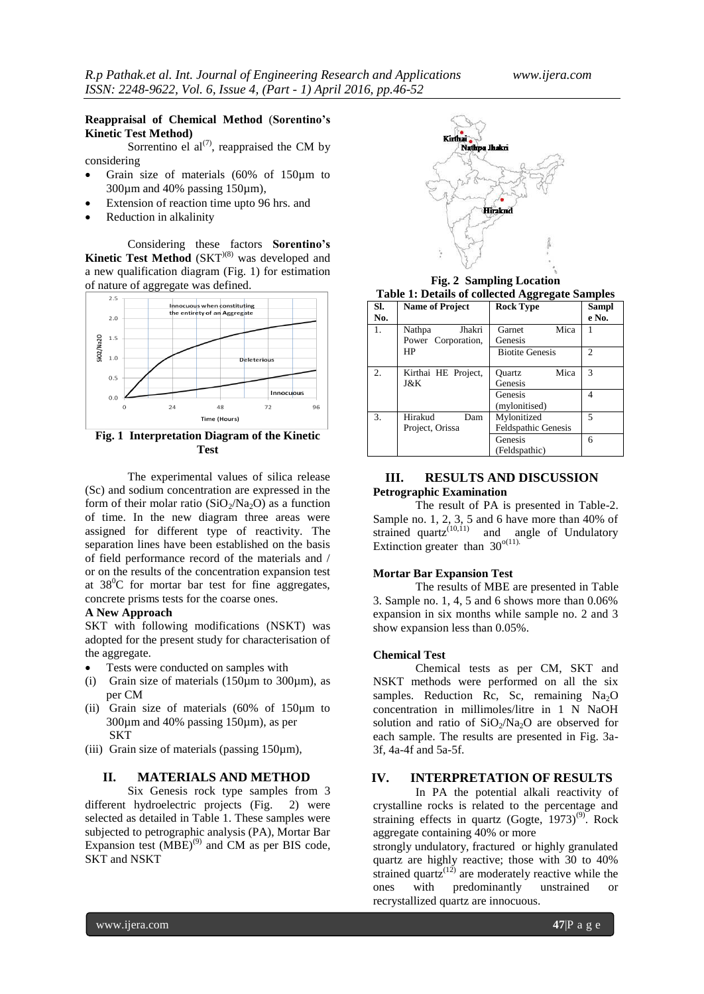## **Reappraisal of Chemical Method** (**Sorentino's Kinetic Test Method)**

Sorrentino el  $al^{(7)}$ , reappraised the CM by considering

- Grain size of materials (60% of 150µm to 300µm and 40% passing 150µm),
- Extension of reaction time upto 96 hrs. and
- Reduction in alkalinity

Considering these factors **Sorentino's Kinetic Test Method** (SKT<sup>)(8)</sup> was developed and a new qualification diagram (Fig. 1) for estimation of nature of aggregate was defined.



**Fig. 1 Interpretation Diagram of the Kinetic Test**

The experimental values of silica release (Sc) and sodium concentration are expressed in the form of their molar ratio ( $SiO<sub>2</sub>/Na<sub>2</sub>O$ ) as a function of time. In the new diagram three areas were assigned for different type of reactivity. The separation lines have been established on the basis of field performance record of the materials and / or on the results of the concentration expansion test at  $38^{\circ}$ C for mortar bar test for fine aggregates, concrete prisms tests for the coarse ones.

### **A New Approach**

SKT with following modifications (NSKT) was adopted for the present study for characterisation of the aggregate.

- Tests were conducted on samples with
- (i) Grain size of materials  $(150 \mu m)$  to  $300 \mu m$ , as per CM
- (ii) Grain size of materials (60% of 150µm to 300µm and 40% passing 150µm), as per **SKT**
- (iii) Grain size of materials (passing 150µm),

#### **II. MATERIALS AND METHOD**

Six Genesis rock type samples from 3 different hydroelectric projects (Fig. 2) were selected as detailed in Table 1. These samples were subjected to petrographic analysis (PA), Mortar Bar Expansion test  $(MBE)^{(9)}$  and CM as per BIS code, SKT and NSKT



**Fig. 2 Sampling Location Table 1: Details of collected Aggregate Samples**

|       | Table 1. Details of concetta aggregate bampies |           |       |
|-------|------------------------------------------------|-----------|-------|
| l SI. | <b>Name of Project</b>                         | Rock Type | Sampl |

| . .<br>No. | THERE OF LANGLE                   | $10000 \pm 100$                           | $v$ unipi<br>e No. |
|------------|-----------------------------------|-------------------------------------------|--------------------|
| 1.         | Jhakri<br>Nathpa                  | Mica<br>Garnet                            |                    |
|            | Power Corporation,                | Genesis                                   |                    |
|            | HP                                | <b>Biotite Genesis</b>                    | $\mathfrak{D}$     |
| 2.         | Kirthai HE Project,<br>J&K        | Mica<br>Ouartz<br>Genesis                 | 3                  |
|            |                                   | Genesis<br>(mylonitised)                  | 4                  |
| 3.         | Hirakud<br>Dam<br>Project, Orissa | Mylonitized<br><b>Feldspathic Genesis</b> | 5                  |
|            |                                   | Genesis<br>(Feldspathic)                  | 6                  |

#### **III. RESULTS AND DISCUSSION Petrographic Examination**

The result of PA is presented in Table-2. Sample no. 1, 2, 3, 5 and 6 have more than 40% of strained  $quartz^{(10,11)}$  and angle of Undulatory Extinction greater than  $30^{\circ(11)}$ .

#### **Mortar Bar Expansion Test**

The results of MBE are presented in Table 3. Sample no. 1, 4, 5 and 6 shows more than 0.06% expansion in six months while sample no. 2 and 3 show expansion less than 0.05%.

#### **Chemical Test**

Chemical tests as per CM, SKT and NSKT methods were performed on all the six samples. Reduction Rc, Sc, remaining  $Na<sub>2</sub>O$ concentration in millimoles/litre in 1 N NaOH solution and ratio of  $SiO<sub>2</sub>/Na<sub>2</sub>O$  are observed for each sample. The results are presented in Fig. 3a-3f, 4a-4f and 5a-5f.

# **IV. INTERPRETATION OF RESULTS**

In PA the potential alkali reactivity of crystalline rocks is related to the percentage and straining effects in quartz (Gogte,  $1973)^{(9)}$ . Rock aggregate containing 40% or more

strongly undulatory, fractured or highly granulated quartz are highly reactive; those with 30 to 40% strained quartz<sup> $(12)$ </sup> are moderately reactive while the ones with predominantly unstrained or recrystallized quartz are innocuous.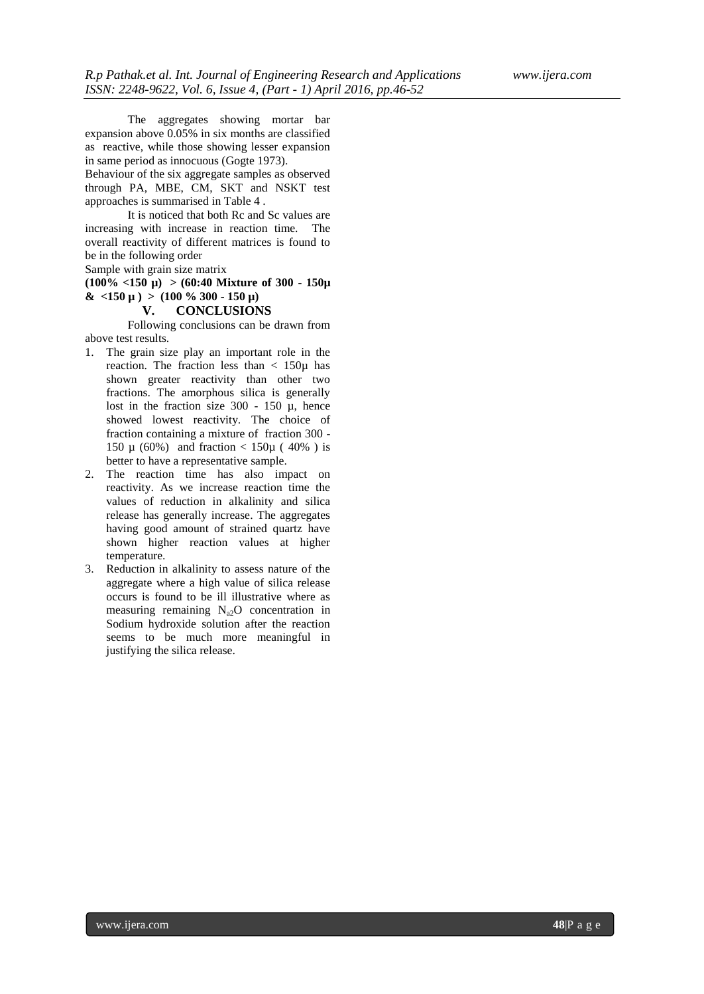The aggregates showing mortar bar expansion above 0.05% in six months are classified as reactive, while those showing lesser expansion in same period as innocuous (Gogte 1973).

Behaviour of the six aggregate samples as observed through PA, MBE, CM, SKT and NSKT test approaches is summarised in Table 4 .

It is noticed that both Rc and Sc values are increasing with increase in reaction time. The overall reactivity of different matrices is found to be in the following order

Sample with grain size matrix

**(100% <150 µ) > (60:40 Mixture of 300 - 150µ**   $\&$  <150 µ ) > (100 % 300 - 150 µ)

### **V. CONCLUSIONS**

Following conclusions can be drawn from above test results.

- 1. The grain size play an important role in the reaction. The fraction less than  $\langle 150 \mu \rangle$  has shown greater reactivity than other two fractions. The amorphous silica is generally lost in the fraction size  $300 - 150$   $\mu$ , hence showed lowest reactivity. The choice of fraction containing a mixture of fraction 300 - 150 µ (60%) and fraction < 150µ ( 40% ) is better to have a representative sample.
- 2. The reaction time has also impact on reactivity. As we increase reaction time the values of reduction in alkalinity and silica release has generally increase. The aggregates having good amount of strained quartz have shown higher reaction values at higher temperature.
- 3. Reduction in alkalinity to assess nature of the aggregate where a high value of silica release occurs is found to be ill illustrative where as measuring remaining  $N_{a2}O$  concentration in Sodium hydroxide solution after the reaction seems to be much more meaningful in justifying the silica release.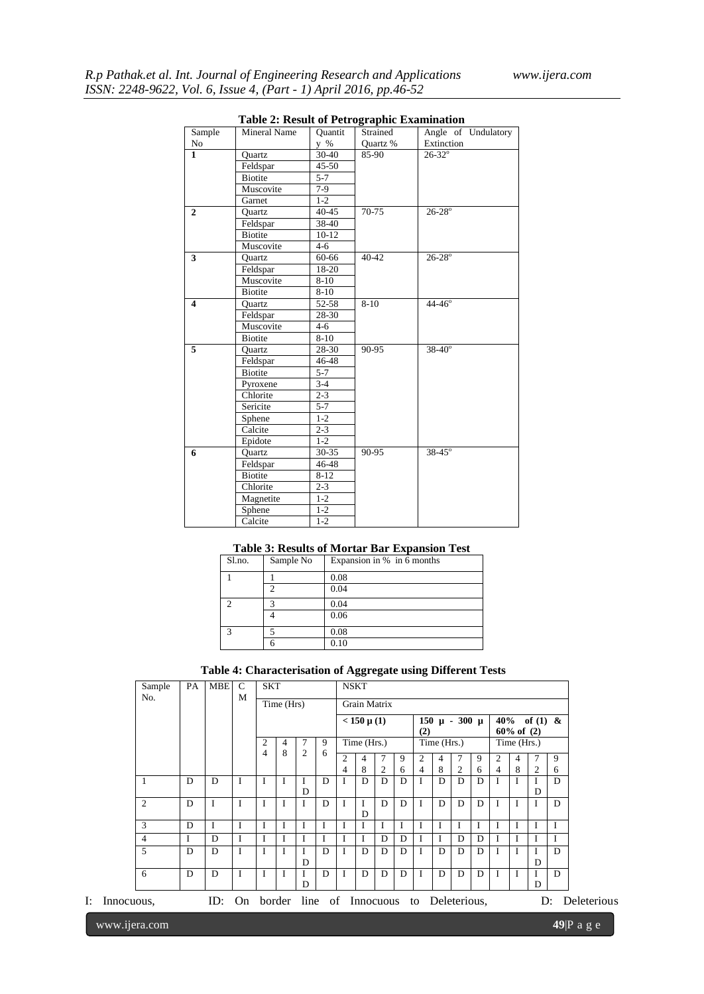|                         | <b>Table 2: Result of Petrographic Examination</b> |           |           |                     |
|-------------------------|----------------------------------------------------|-----------|-----------|---------------------|
| Sample                  | <b>Mineral Name</b>                                | Quantit   | Strained  | Angle of Undulatory |
| No                      |                                                    | y %       | Quartz %  | Extinction          |
| $\mathbf{1}$            | Quartz                                             | 30-40     | 85-90     | $26 - 32^{\circ}$   |
|                         | Feldspar                                           | $45 - 50$ |           |                     |
|                         | <b>Biotite</b>                                     | $5 - 7$   |           |                     |
|                         | Muscovite                                          | $7-9$     |           |                     |
|                         | Garnet                                             | $1 - 2$   |           |                     |
| $\overline{2}$          | Quartz                                             | $40 - 45$ | 70-75     | $26 - 28^{\circ}$   |
|                         | Feldspar                                           | 38-40     |           |                     |
|                         | <b>Biotite</b>                                     | $10-12$   |           |                     |
|                         | Muscovite                                          | $4-6$     |           |                     |
| 3                       | Quartz                                             | 60-66     | $40 - 42$ | $26 - 28^{\circ}$   |
|                         | Feldspar                                           | $18 - 20$ |           |                     |
|                         | Muscovite                                          | $8 - 10$  |           |                     |
|                         | <b>Biotite</b>                                     | $8 - 10$  |           |                     |
| $\overline{\mathbf{4}}$ | Quartz                                             | 52-58     | $8-10$    | $44 - 46^{\circ}$   |
|                         | Feldspar                                           | 28-30     |           |                     |
|                         | Muscovite                                          | 4-6       |           |                     |
|                         | <b>Biotite</b>                                     | $8 - 10$  |           |                     |
| 5                       | Quartz                                             | 28-30     | 90-95     | $38 - 40^{\circ}$   |
|                         | Feldspar                                           | 46-48     |           |                     |
|                         | <b>Biotite</b>                                     | $5 - 7$   |           |                     |
|                         | Pyroxene                                           | $3 - 4$   |           |                     |
|                         | Chlorite                                           | $2 - 3$   |           |                     |
|                         | Sericite                                           | $5 - 7$   |           |                     |
|                         | Sphene                                             | $1 - 2$   |           |                     |
|                         | Calcite                                            | $2 - 3$   |           |                     |
|                         | Epidote                                            | $1 - 2$   |           |                     |
| 6                       | Quartz                                             | $30 - 35$ | $90 - 95$ | $38 - 45^{\circ}$   |
|                         | Feldspar                                           | $46 - 48$ |           |                     |
|                         | <b>Biotite</b>                                     | $8 - 12$  |           |                     |
|                         | Chlorite                                           | $2 - 3$   |           |                     |
|                         | Magnetite                                          | $1 - 2$   |           |                     |
|                         | Sphene                                             | $1 - 2$   |           |                     |
|                         | Calcite                                            | $1 - 2$   |           |                     |

# **Table 3: Results of Mortar Bar Expansion Test**

| Sl.no. | Sample No | Expansion in % in 6 months |
|--------|-----------|----------------------------|
|        |           | 0.08                       |
|        | ◠         | 0.04                       |
|        | з         | 0.04                       |
|        |           | 0.06                       |
| ⌒      |           | 0.08                       |
|        |           | 0.10                       |

# **Table 4: Characterisation of Aggregate using Different Tests**

| PA<br>Sample   |  |   |                                    | $\mathcal{C}$<br><b>MBE</b> | <b>SKT</b>     |        |   |   | <b>NSKT</b>         |              |   |                            |             |   |                |                               |                |   |       |             |
|----------------|--|---|------------------------------------|-----------------------------|----------------|--------|---|---|---------------------|--------------|---|----------------------------|-------------|---|----------------|-------------------------------|----------------|---|-------|-------------|
| No.            |  |   |                                    | M                           | Time (Hrs)     |        |   |   | <b>Grain Matrix</b> |              |   |                            |             |   |                |                               |                |   |       |             |
|                |  |   |                                    |                             |                |        |   |   | $< 150 \mu(1)$      |              |   | $150 \mu - 300 \mu$<br>(2) |             |   |                | 40% of (1) &<br>$60\%$ of (2) |                |   |       |             |
|                |  |   |                                    |                             | 2              | 9<br>4 |   |   |                     | Time (Hrs.)  |   |                            | Time (Hrs.) |   |                |                               | Time (Hrs.)    |   |       |             |
|                |  |   |                                    |                             | $\overline{4}$ | 8      | 2 | 6 | 2                   | 4            |   | 9                          | 2           | 4 | 7              | 9                             | $\mathfrak{D}$ |   |       | 9           |
|                |  |   |                                    |                             |                |        |   |   | 4                   | 8            | 2 | 6                          | 4           | 8 | $\overline{2}$ | 6                             | $\overline{4}$ | 8 | 2     | 6           |
|                |  | D | D                                  | I                           | L              |        | I | D | I                   | D            | D | D                          |             | D | D              | D                             |                |   |       | D           |
|                |  |   |                                    |                             |                |        | D |   |                     |              |   |                            |             |   |                |                               |                |   | D     |             |
| 2              |  | D | I                                  | I                           | I              | T      | I | D | I                   | D            | D | D                          | I           | D | D              | D                             |                | I | I     | D           |
| 3              |  | D | I                                  | I                           | Ι.             | I      | I | I | I                   | $\mathbf{I}$ |   | I                          | I           | I | I              | I                             |                | I | I     | I           |
| $\overline{4}$ |  | I | D                                  | I                           | $\mathbf{I}$   | I      |   |   | I                   | I            | D | D                          | I           | L | D              | D                             |                | I | I     | I           |
| 5              |  | D | D                                  | I                           | I              | I      | I | D | I                   | D            | D | D                          | I           | D | D              | D                             |                | I | I     | D           |
|                |  |   |                                    |                             |                |        | D |   |                     |              |   |                            |             |   |                |                               |                |   | D     |             |
| 6              |  | D | D                                  | I                           | <b>I</b>       | I      | I | D | I                   | D            | D | D                          | I           | D | D              | D                             | I              | I | I     | D           |
|                |  |   |                                    |                             |                |        | D |   |                     |              |   |                            |             |   |                |                               |                |   | D     |             |
| I: Innocuous,  |  |   | ID: On border line of Innocuous to |                             |                |        |   |   |                     |              |   |                            |             |   | Deleterious,   |                               |                |   | $D$ : | Deleterious |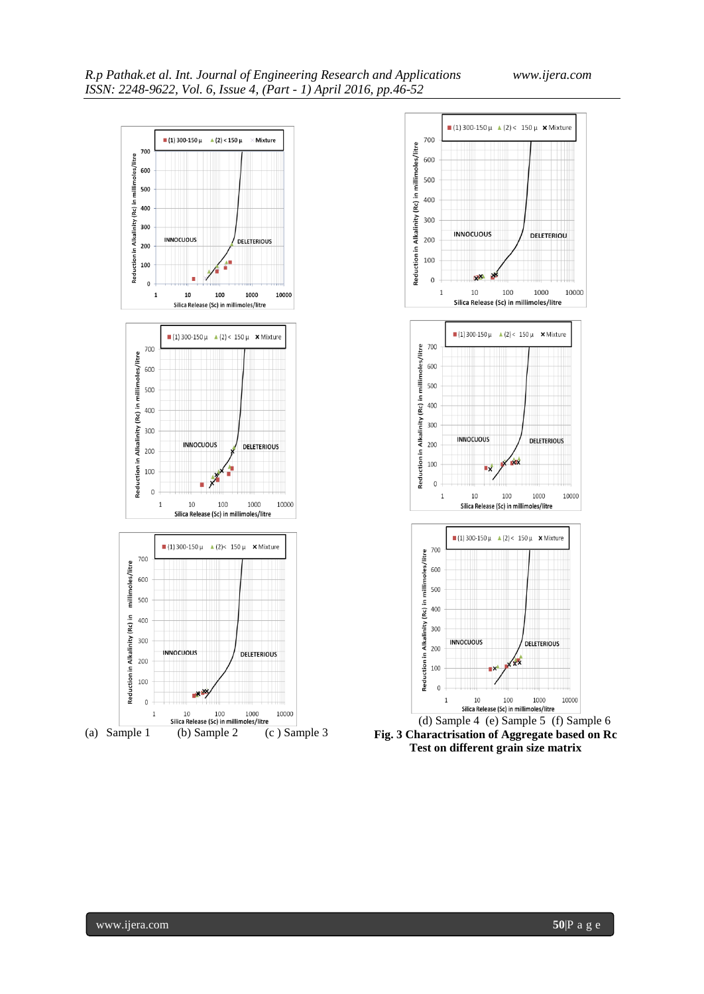



**Fig. 3 Charactrisation of Aggregate based on Rc Test on different grain size matrix**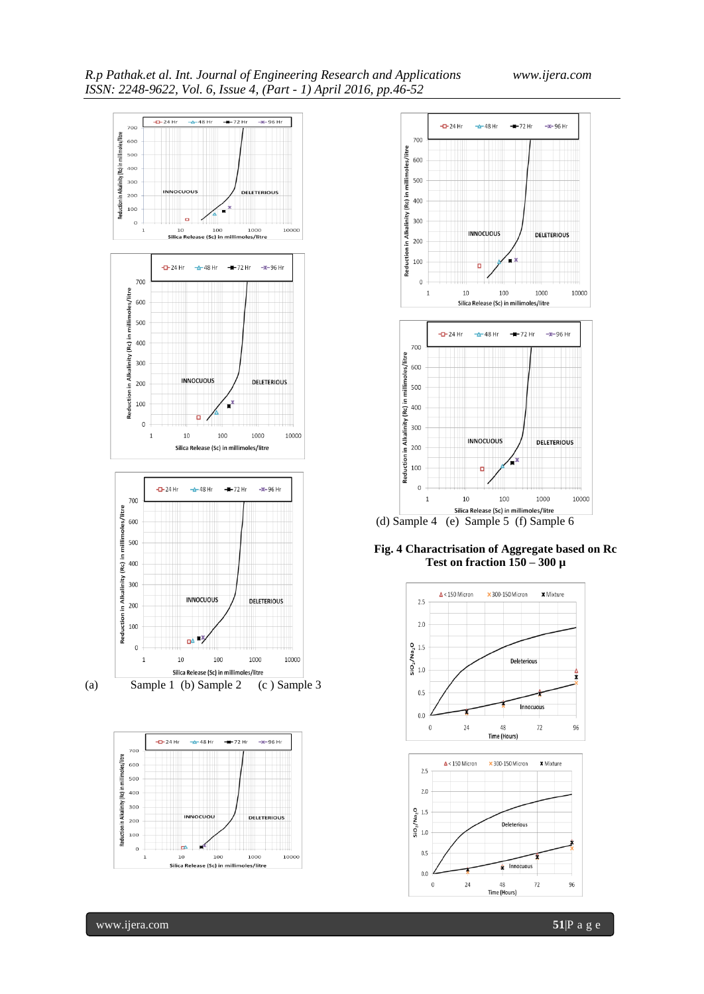





**Fig. 4 Charactrisation of Aggregate based on Rc Test on fraction 150 – 300 µ**